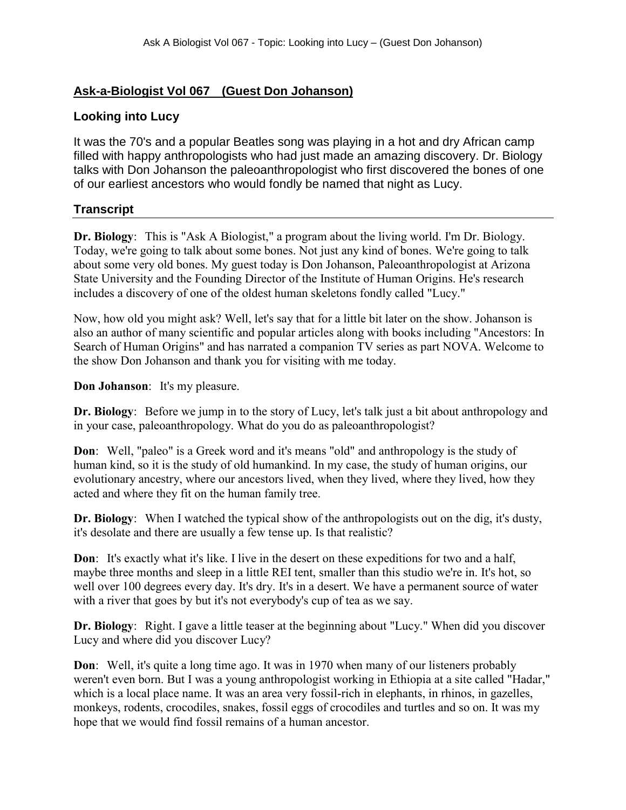## **Ask-a-Biologist Vol 067 (Guest Don Johanson)**

## **Looking into Lucy**

It was the 70's and a popular Beatles song was playing in a hot and dry African camp filled with happy anthropologists who had just made an amazing discovery. Dr. Biology talks with Don Johanson the paleoanthropologist who first discovered the bones of one of our earliest ancestors who would fondly be named that night as Lucy.

## **Transcript**

**Dr. Biology**: This is "Ask A Biologist," a program about the living world. I'm Dr. Biology. Today, we're going to talk about some bones. Not just any kind of bones. We're going to talk about some very old bones. My guest today is Don Johanson, Paleoanthropologist at Arizona State University and the Founding Director of the Institute of Human Origins. He's research includes a discovery of one of the oldest human skeletons fondly called "Lucy."

Now, how old you might ask? Well, let's say that for a little bit later on the show. Johanson is also an author of many scientific and popular articles along with books including "Ancestors: In Search of Human Origins" and has narrated a companion TV series as part NOVA. Welcome to the show Don Johanson and thank you for visiting with me today.

**Don Johanson**: It's my pleasure.

**Dr. Biology**: Before we jump in to the story of Lucy, let's talk just a bit about anthropology and in your case, paleoanthropology. What do you do as paleoanthropologist?

**Don**: Well, "paleo" is a Greek word and it's means "old" and anthropology is the study of human kind, so it is the study of old humankind. In my case, the study of human origins, our evolutionary ancestry, where our ancestors lived, when they lived, where they lived, how they acted and where they fit on the human family tree.

**Dr. Biology**: When I watched the typical show of the anthropologists out on the dig, it's dusty, it's desolate and there are usually a few tense up. Is that realistic?

**Don**: It's exactly what it's like. I live in the desert on these expeditions for two and a half, maybe three months and sleep in a little REI tent, smaller than this studio we're in. It's hot, so well over 100 degrees every day. It's dry. It's in a desert. We have a permanent source of water with a river that goes by but it's not everybody's cup of tea as we say.

**Dr. Biology**: Right. I gave a little teaser at the beginning about "Lucy." When did you discover Lucy and where did you discover Lucy?

**Don**: Well, it's quite a long time ago. It was in 1970 when many of our listeners probably weren't even born. But I was a young anthropologist working in Ethiopia at a site called "Hadar," which is a local place name. It was an area very fossil-rich in elephants, in rhinos, in gazelles, monkeys, rodents, crocodiles, snakes, fossil eggs of crocodiles and turtles and so on. It was my hope that we would find fossil remains of a human ancestor.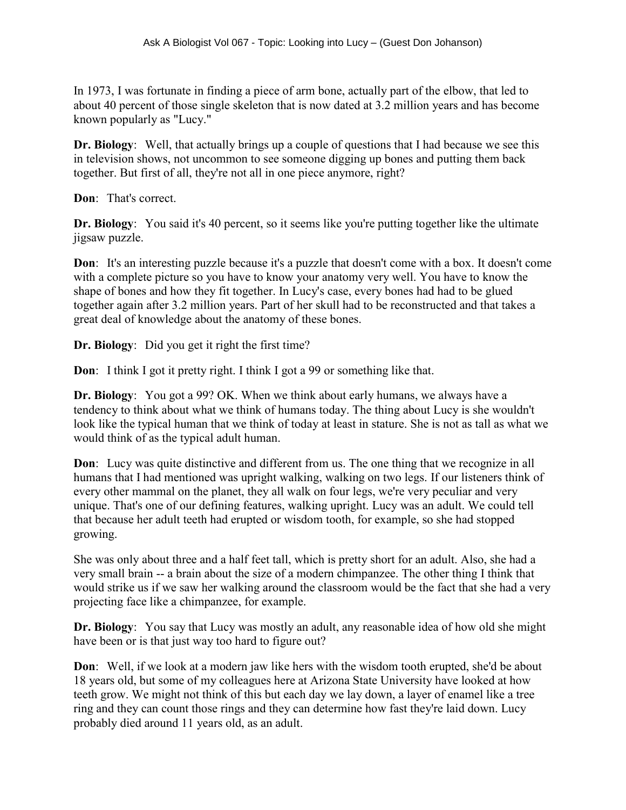In 1973, I was fortunate in finding a piece of arm bone, actually part of the elbow, that led to about 40 percent of those single skeleton that is now dated at 3.2 million years and has become known popularly as "Lucy."

**Dr. Biology**: Well, that actually brings up a couple of questions that I had because we see this in television shows, not uncommon to see someone digging up bones and putting them back together. But first of all, they're not all in one piece anymore, right?

**Don**: That's correct.

**Dr. Biology**: You said it's 40 percent, so it seems like you're putting together like the ultimate jigsaw puzzle.

**Don**: It's an interesting puzzle because it's a puzzle that doesn't come with a box. It doesn't come with a complete picture so you have to know your anatomy very well. You have to know the shape of bones and how they fit together. In Lucy's case, every bones had had to be glued together again after 3.2 million years. Part of her skull had to be reconstructed and that takes a great deal of knowledge about the anatomy of these bones.

**Dr. Biology**: Did you get it right the first time?

**Don**: I think I got it pretty right. I think I got a 99 or something like that.

**Dr. Biology**: You got a 99? OK. When we think about early humans, we always have a tendency to think about what we think of humans today. The thing about Lucy is she wouldn't look like the typical human that we think of today at least in stature. She is not as tall as what we would think of as the typical adult human.

**Don**: Lucy was quite distinctive and different from us. The one thing that we recognize in all humans that I had mentioned was upright walking, walking on two legs. If our listeners think of every other mammal on the planet, they all walk on four legs, we're very peculiar and very unique. That's one of our defining features, walking upright. Lucy was an adult. We could tell that because her adult teeth had erupted or wisdom tooth, for example, so she had stopped growing.

She was only about three and a half feet tall, which is pretty short for an adult. Also, she had a very small brain -- a brain about the size of a modern chimpanzee. The other thing I think that would strike us if we saw her walking around the classroom would be the fact that she had a very projecting face like a chimpanzee, for example.

**Dr. Biology**: You say that Lucy was mostly an adult, any reasonable idea of how old she might have been or is that just way too hard to figure out?

**Don**: Well, if we look at a modern jaw like hers with the wisdom tooth erupted, she'd be about 18 years old, but some of my colleagues here at Arizona State University have looked at how teeth grow. We might not think of this but each day we lay down, a layer of enamel like a tree ring and they can count those rings and they can determine how fast they're laid down. Lucy probably died around 11 years old, as an adult.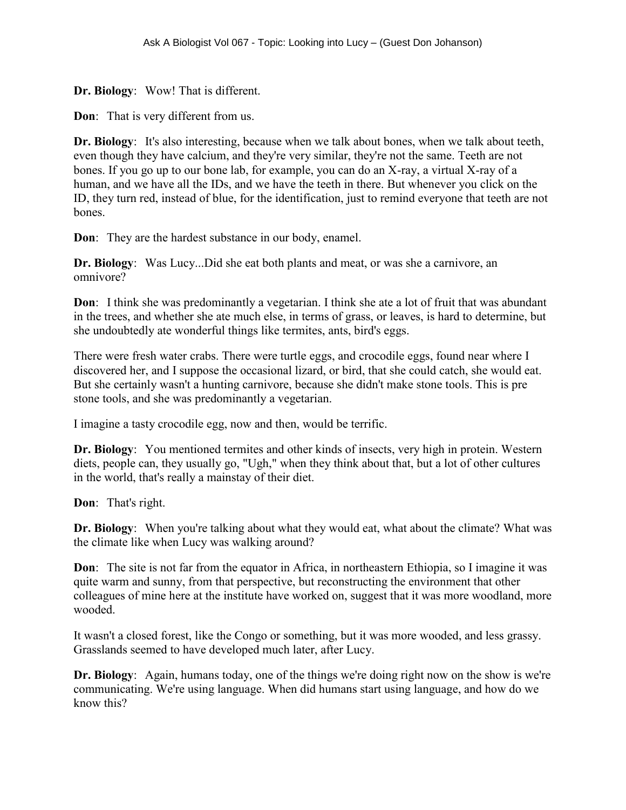**Dr. Biology**: Wow! That is different.

**Don**: That is very different from us.

**Dr. Biology**: It's also interesting, because when we talk about bones, when we talk about teeth, even though they have calcium, and they're very similar, they're not the same. Teeth are not bones. If you go up to our bone lab, for example, you can do an X-ray, a virtual X-ray of a human, and we have all the IDs, and we have the teeth in there. But whenever you click on the ID, they turn red, instead of blue, for the identification, just to remind everyone that teeth are not bones.

**Don**: They are the hardest substance in our body, enamel.

**Dr. Biology**: Was Lucy...Did she eat both plants and meat, or was she a carnivore, an omnivore?

**Don**: I think she was predominantly a vegetarian. I think she ate a lot of fruit that was abundant in the trees, and whether she ate much else, in terms of grass, or leaves, is hard to determine, but she undoubtedly ate wonderful things like termites, ants, bird's eggs.

There were fresh water crabs. There were turtle eggs, and crocodile eggs, found near where I discovered her, and I suppose the occasional lizard, or bird, that she could catch, she would eat. But she certainly wasn't a hunting carnivore, because she didn't make stone tools. This is pre stone tools, and she was predominantly a vegetarian.

I imagine a tasty crocodile egg, now and then, would be terrific.

**Dr. Biology**: You mentioned termites and other kinds of insects, very high in protein. Western diets, people can, they usually go, "Ugh," when they think about that, but a lot of other cultures in the world, that's really a mainstay of their diet.

**Don**: That's right.

**Dr. Biology**: When you're talking about what they would eat, what about the climate? What was the climate like when Lucy was walking around?

**Don**: The site is not far from the equator in Africa, in northeastern Ethiopia, so I imagine it was quite warm and sunny, from that perspective, but reconstructing the environment that other colleagues of mine here at the institute have worked on, suggest that it was more woodland, more wooded.

It wasn't a closed forest, like the Congo or something, but it was more wooded, and less grassy. Grasslands seemed to have developed much later, after Lucy.

**Dr. Biology**: Again, humans today, one of the things we're doing right now on the show is we're communicating. We're using language. When did humans start using language, and how do we know this?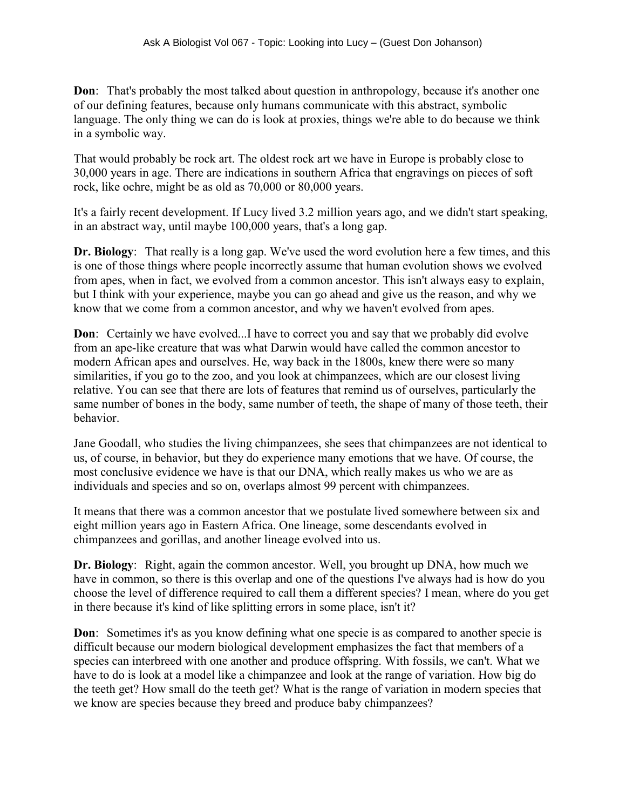**Don**: That's probably the most talked about question in anthropology, because it's another one of our defining features, because only humans communicate with this abstract, symbolic language. The only thing we can do is look at proxies, things we're able to do because we think in a symbolic way.

That would probably be rock art. The oldest rock art we have in Europe is probably close to 30,000 years in age. There are indications in southern Africa that engravings on pieces of soft rock, like ochre, might be as old as 70,000 or 80,000 years.

It's a fairly recent development. If Lucy lived 3.2 million years ago, and we didn't start speaking, in an abstract way, until maybe 100,000 years, that's a long gap.

**Dr. Biology**: That really is a long gap. We've used the word evolution here a few times, and this is one of those things where people incorrectly assume that human evolution shows we evolved from apes, when in fact, we evolved from a common ancestor. This isn't always easy to explain, but I think with your experience, maybe you can go ahead and give us the reason, and why we know that we come from a common ancestor, and why we haven't evolved from apes.

**Don**: Certainly we have evolved...I have to correct you and say that we probably did evolve from an ape-like creature that was what Darwin would have called the common ancestor to modern African apes and ourselves. He, way back in the 1800s, knew there were so many similarities, if you go to the zoo, and you look at chimpanzees, which are our closest living relative. You can see that there are lots of features that remind us of ourselves, particularly the same number of bones in the body, same number of teeth, the shape of many of those teeth, their behavior.

Jane Goodall, who studies the living chimpanzees, she sees that chimpanzees are not identical to us, of course, in behavior, but they do experience many emotions that we have. Of course, the most conclusive evidence we have is that our DNA, which really makes us who we are as individuals and species and so on, overlaps almost 99 percent with chimpanzees.

It means that there was a common ancestor that we postulate lived somewhere between six and eight million years ago in Eastern Africa. One lineage, some descendants evolved in chimpanzees and gorillas, and another lineage evolved into us.

**Dr. Biology**: Right, again the common ancestor. Well, you brought up DNA, how much we have in common, so there is this overlap and one of the questions I've always had is how do you choose the level of difference required to call them a different species? I mean, where do you get in there because it's kind of like splitting errors in some place, isn't it?

**Don**: Sometimes it's as you know defining what one specie is as compared to another specie is difficult because our modern biological development emphasizes the fact that members of a species can interbreed with one another and produce offspring. With fossils, we can't. What we have to do is look at a model like a chimpanzee and look at the range of variation. How big do the teeth get? How small do the teeth get? What is the range of variation in modern species that we know are species because they breed and produce baby chimpanzees?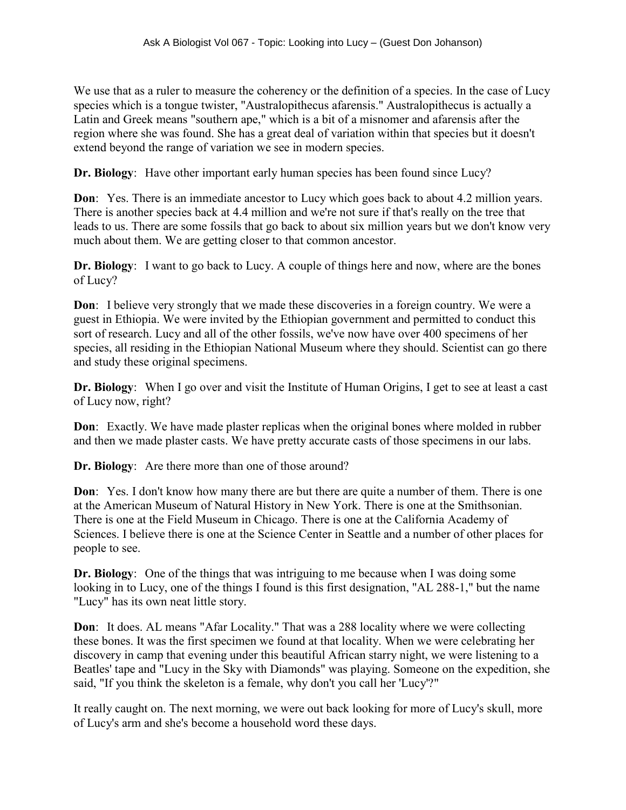We use that as a ruler to measure the coherency or the definition of a species. In the case of Lucy species which is a tongue twister, "Australopithecus afarensis." Australopithecus is actually a Latin and Greek means "southern ape," which is a bit of a misnomer and afarensis after the region where she was found. She has a great deal of variation within that species but it doesn't extend beyond the range of variation we see in modern species.

**Dr. Biology**: Have other important early human species has been found since Lucy?

**Don**: Yes. There is an immediate ancestor to Lucy which goes back to about 4.2 million years. There is another species back at 4.4 million and we're not sure if that's really on the tree that leads to us. There are some fossils that go back to about six million years but we don't know very much about them. We are getting closer to that common ancestor.

**Dr. Biology**: I want to go back to Lucy. A couple of things here and now, where are the bones of Lucy?

**Don**: I believe very strongly that we made these discoveries in a foreign country. We were a guest in Ethiopia. We were invited by the Ethiopian government and permitted to conduct this sort of research. Lucy and all of the other fossils, we've now have over 400 specimens of her species, all residing in the Ethiopian National Museum where they should. Scientist can go there and study these original specimens.

**Dr. Biology**: When I go over and visit the Institute of Human Origins, I get to see at least a cast of Lucy now, right?

**Don**: Exactly. We have made plaster replicas when the original bones where molded in rubber and then we made plaster casts. We have pretty accurate casts of those specimens in our labs.

**Dr. Biology**: Are there more than one of those around?

**Don**: Yes. I don't know how many there are but there are quite a number of them. There is one at the American Museum of Natural History in New York. There is one at the Smithsonian. There is one at the Field Museum in Chicago. There is one at the California Academy of Sciences. I believe there is one at the Science Center in Seattle and a number of other places for people to see.

**Dr. Biology**: One of the things that was intriguing to me because when I was doing some looking in to Lucy, one of the things I found is this first designation, "AL 288-1," but the name "Lucy" has its own neat little story.

**Don**: It does. AL means "Afar Locality." That was a 288 locality where we were collecting these bones. It was the first specimen we found at that locality. When we were celebrating her discovery in camp that evening under this beautiful African starry night, we were listening to a Beatles' tape and "Lucy in the Sky with Diamonds" was playing. Someone on the expedition, she said, "If you think the skeleton is a female, why don't you call her 'Lucy'?"

It really caught on. The next morning, we were out back looking for more of Lucy's skull, more of Lucy's arm and she's become a household word these days.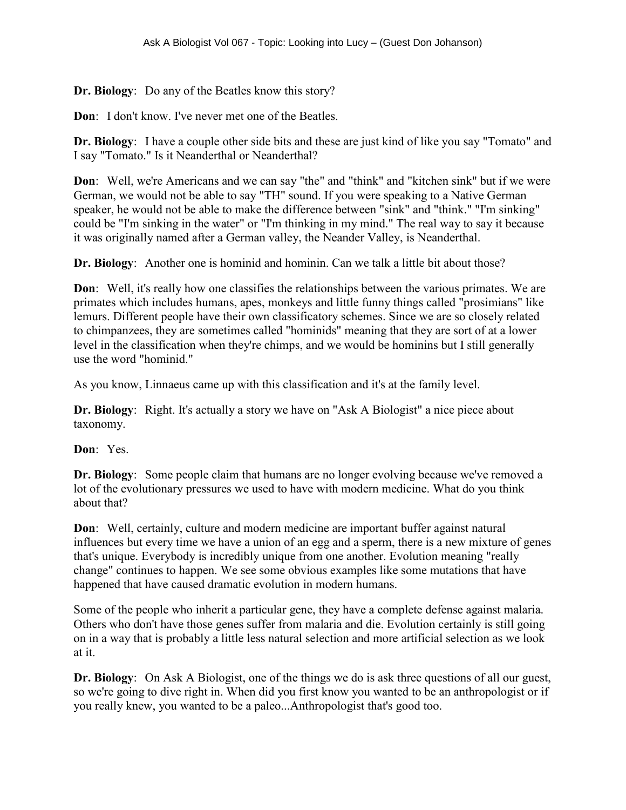**Dr. Biology**: Do any of the Beatles know this story?

**Don**: I don't know. I've never met one of the Beatles.

**Dr. Biology**: I have a couple other side bits and these are just kind of like you say "Tomato" and I say "Tomato." Is it Neanderthal or Neanderthal?

**Don**: Well, we're Americans and we can say "the" and "think" and "kitchen sink" but if we were German, we would not be able to say "TH" sound. If you were speaking to a Native German speaker, he would not be able to make the difference between "sink" and "think." "I'm sinking" could be "I'm sinking in the water" or "I'm thinking in my mind." The real way to say it because it was originally named after a German valley, the Neander Valley, is Neanderthal.

**Dr. Biology**: Another one is hominid and hominin. Can we talk a little bit about those?

**Don**: Well, it's really how one classifies the relationships between the various primates. We are primates which includes humans, apes, monkeys and little funny things called "prosimians" like lemurs. Different people have their own classificatory schemes. Since we are so closely related to chimpanzees, they are sometimes called "hominids" meaning that they are sort of at a lower level in the classification when they're chimps, and we would be hominins but I still generally use the word "hominid."

As you know, Linnaeus came up with this classification and it's at the family level.

**Dr. Biology**: Right. It's actually a story we have on "Ask A Biologist" a nice piece about taxonomy.

**Don**: Yes.

**Dr. Biology**: Some people claim that humans are no longer evolving because we've removed a lot of the evolutionary pressures we used to have with modern medicine. What do you think about that?

**Don**: Well, certainly, culture and modern medicine are important buffer against natural influences but every time we have a union of an egg and a sperm, there is a new mixture of genes that's unique. Everybody is incredibly unique from one another. Evolution meaning "really change" continues to happen. We see some obvious examples like some mutations that have happened that have caused dramatic evolution in modern humans.

Some of the people who inherit a particular gene, they have a complete defense against malaria. Others who don't have those genes suffer from malaria and die. Evolution certainly is still going on in a way that is probably a little less natural selection and more artificial selection as we look at it.

**Dr. Biology**: On Ask A Biologist, one of the things we do is ask three questions of all our guest, so we're going to dive right in. When did you first know you wanted to be an anthropologist or if you really knew, you wanted to be a paleo...Anthropologist that's good too.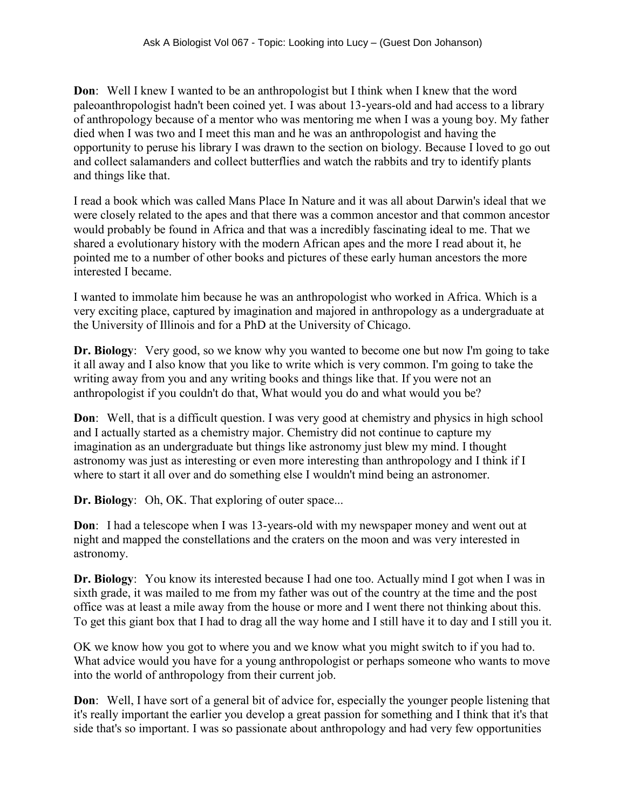**Don**: Well I knew I wanted to be an anthropologist but I think when I knew that the word paleoanthropologist hadn't been coined yet. I was about 13-years-old and had access to a library of anthropology because of a mentor who was mentoring me when I was a young boy. My father died when I was two and I meet this man and he was an anthropologist and having the opportunity to peruse his library I was drawn to the section on biology. Because I loved to go out and collect salamanders and collect butterflies and watch the rabbits and try to identify plants and things like that.

I read a book which was called Mans Place In Nature and it was all about Darwin's ideal that we were closely related to the apes and that there was a common ancestor and that common ancestor would probably be found in Africa and that was a incredibly fascinating ideal to me. That we shared a evolutionary history with the modern African apes and the more I read about it, he pointed me to a number of other books and pictures of these early human ancestors the more interested I became.

I wanted to immolate him because he was an anthropologist who worked in Africa. Which is a very exciting place, captured by imagination and majored in anthropology as a undergraduate at the University of Illinois and for a PhD at the University of Chicago.

**Dr. Biology**: Very good, so we know why you wanted to become one but now I'm going to take it all away and I also know that you like to write which is very common. I'm going to take the writing away from you and any writing books and things like that. If you were not an anthropologist if you couldn't do that, What would you do and what would you be?

**Don**: Well, that is a difficult question. I was very good at chemistry and physics in high school and I actually started as a chemistry major. Chemistry did not continue to capture my imagination as an undergraduate but things like astronomy just blew my mind. I thought astronomy was just as interesting or even more interesting than anthropology and I think if I where to start it all over and do something else I wouldn't mind being an astronomer.

**Dr. Biology**: Oh, OK. That exploring of outer space...

**Don**: I had a telescope when I was 13-years-old with my newspaper money and went out at night and mapped the constellations and the craters on the moon and was very interested in astronomy.

**Dr. Biology**: You know its interested because I had one too. Actually mind I got when I was in sixth grade, it was mailed to me from my father was out of the country at the time and the post office was at least a mile away from the house or more and I went there not thinking about this. To get this giant box that I had to drag all the way home and I still have it to day and I still you it.

OK we know how you got to where you and we know what you might switch to if you had to. What advice would you have for a young anthropologist or perhaps someone who wants to move into the world of anthropology from their current job.

**Don**: Well, I have sort of a general bit of advice for, especially the younger people listening that it's really important the earlier you develop a great passion for something and I think that it's that side that's so important. I was so passionate about anthropology and had very few opportunities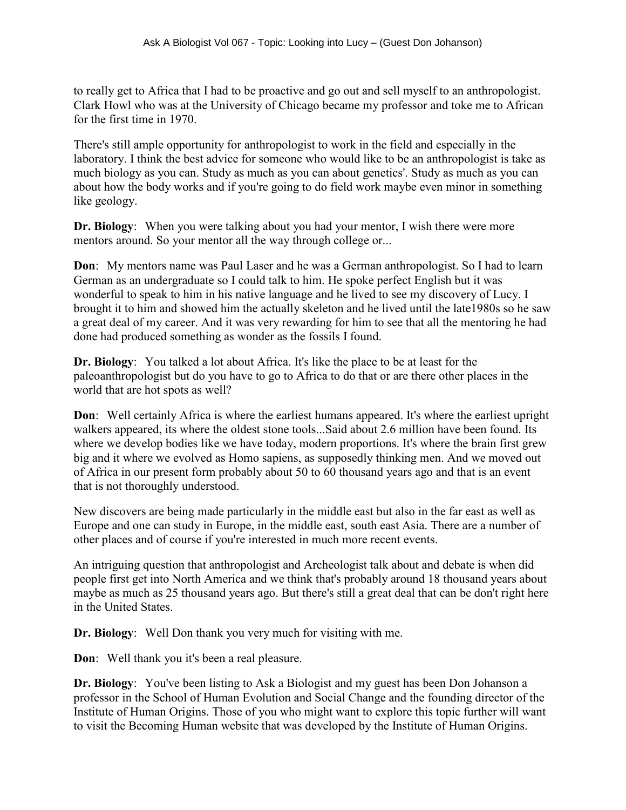to really get to Africa that I had to be proactive and go out and sell myself to an anthropologist. Clark Howl who was at the University of Chicago became my professor and toke me to African for the first time in 1970.

There's still ample opportunity for anthropologist to work in the field and especially in the laboratory. I think the best advice for someone who would like to be an anthropologist is take as much biology as you can. Study as much as you can about genetics'. Study as much as you can about how the body works and if you're going to do field work maybe even minor in something like geology.

**Dr. Biology**: When you were talking about you had your mentor, I wish there were more mentors around. So your mentor all the way through college or...

**Don**: My mentors name was Paul Laser and he was a German anthropologist. So I had to learn German as an undergraduate so I could talk to him. He spoke perfect English but it was wonderful to speak to him in his native language and he lived to see my discovery of Lucy. I brought it to him and showed him the actually skeleton and he lived until the late1980s so he saw a great deal of my career. And it was very rewarding for him to see that all the mentoring he had done had produced something as wonder as the fossils I found.

**Dr. Biology**: You talked a lot about Africa. It's like the place to be at least for the paleoanthropologist but do you have to go to Africa to do that or are there other places in the world that are hot spots as well?

**Don**: Well certainly Africa is where the earliest humans appeared. It's where the earliest upright walkers appeared, its where the oldest stone tools...Said about 2.6 million have been found. Its where we develop bodies like we have today, modern proportions. It's where the brain first grew big and it where we evolved as Homo sapiens, as supposedly thinking men. And we moved out of Africa in our present form probably about 50 to 60 thousand years ago and that is an event that is not thoroughly understood.

New discovers are being made particularly in the middle east but also in the far east as well as Europe and one can study in Europe, in the middle east, south east Asia. There are a number of other places and of course if you're interested in much more recent events.

An intriguing question that anthropologist and Archeologist talk about and debate is when did people first get into North America and we think that's probably around 18 thousand years about maybe as much as 25 thousand years ago. But there's still a great deal that can be don't right here in the United States.

**Dr. Biology**: Well Don thank you very much for visiting with me.

**Don**: Well thank you it's been a real pleasure.

**Dr. Biology**: You've been listing to Ask a Biologist and my guest has been Don Johanson a professor in the School of Human Evolution and Social Change and the founding director of the Institute of Human Origins. Those of you who might want to explore this topic further will want to visit the Becoming Human website that was developed by the Institute of Human Origins.